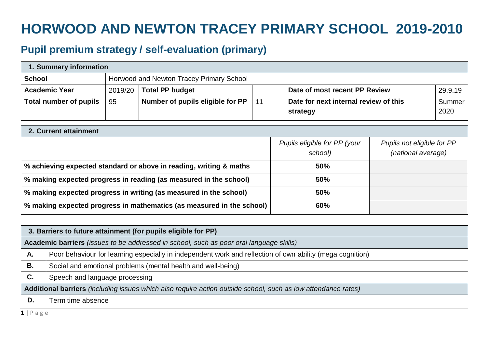## **HORWOOD AND NEWTON TRACEY PRIMARY SCHOOL 2019-2010**

## **Pupil premium strategy / self-evaluation (primary)**

| 1. Summary information        |                                          |                                  |     |                                                   |                |  |
|-------------------------------|------------------------------------------|----------------------------------|-----|---------------------------------------------------|----------------|--|
| <b>School</b>                 | Horwood and Newton Tracey Primary School |                                  |     |                                                   |                |  |
| <b>Academic Year</b>          | 2019/20                                  | <b>Total PP budget</b>           |     | Date of most recent PP Review                     | 29.9.19        |  |
| <b>Total number of pupils</b> | 95                                       | Number of pupils eligible for PP | -11 | Date for next internal review of this<br>strategy | Summer<br>2020 |  |

| 2. Current attainment                                                 |                                         |                                                  |  |  |  |  |
|-----------------------------------------------------------------------|-----------------------------------------|--------------------------------------------------|--|--|--|--|
|                                                                       | Pupils eligible for PP (your<br>school) | Pupils not eligible for PP<br>(national average) |  |  |  |  |
| % achieving expected standard or above in reading, writing & maths    | 50%                                     |                                                  |  |  |  |  |
| % making expected progress in reading (as measured in the school)     | 50%                                     |                                                  |  |  |  |  |
| % making expected progress in writing (as measured in the school)     | 50%                                     |                                                  |  |  |  |  |
| % making expected progress in mathematics (as measured in the school) | 60%                                     |                                                  |  |  |  |  |

|                                                                                                               | 3. Barriers to future attainment (for pupils eligible for PP)                                             |  |  |  |  |
|---------------------------------------------------------------------------------------------------------------|-----------------------------------------------------------------------------------------------------------|--|--|--|--|
|                                                                                                               | Academic barriers (issues to be addressed in school, such as poor oral language skills)                   |  |  |  |  |
| А.                                                                                                            | Poor behaviour for learning especially in independent work and reflection of own ability (mega cognition) |  |  |  |  |
| В.                                                                                                            | Social and emotional problems (mental health and well-being)                                              |  |  |  |  |
| C.                                                                                                            | Speech and language processing                                                                            |  |  |  |  |
| Additional barriers (including issues which also require action outside school, such as low attendance rates) |                                                                                                           |  |  |  |  |
| D.                                                                                                            | Term time absence                                                                                         |  |  |  |  |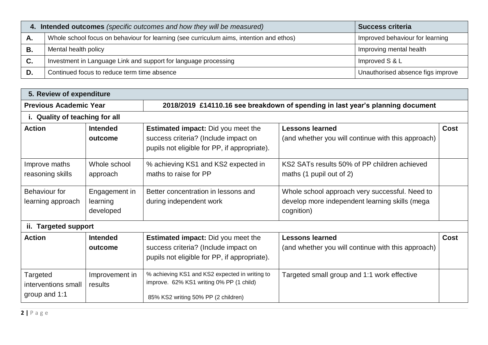|    | 4. Intended outcomes (specific outcomes and how they will be measured)                  | <b>Success criteria</b>           |
|----|-----------------------------------------------------------------------------------------|-----------------------------------|
| А. | Whole school focus on behaviour for learning (see curriculum aims, intention and ethos) | Improved behaviour for learning   |
| В. | Mental health policy                                                                    | Improving mental health           |
| C. | Investment in Language Link and support for language processing                         | Improved S & L                    |
|    | Continued focus to reduce term time absence                                             | Unauthorised absence figs improve |

| 5. Review of expenditure                         |                                        |                                                                                                                                   |                                                                                                                |      |  |  |
|--------------------------------------------------|----------------------------------------|-----------------------------------------------------------------------------------------------------------------------------------|----------------------------------------------------------------------------------------------------------------|------|--|--|
| <b>Previous Academic Year</b>                    |                                        | 2018/2019 £14110.16 see breakdown of spending in last year's planning document                                                    |                                                                                                                |      |  |  |
| i. Quality of teaching for all                   |                                        |                                                                                                                                   |                                                                                                                |      |  |  |
| <b>Action</b>                                    | <b>Intended</b><br>outcome             | <b>Estimated impact:</b> Did you meet the<br>success criteria? (Include impact on<br>pupils not eligible for PP, if appropriate). | <b>Lessons learned</b><br>(and whether you will continue with this approach)                                   | Cost |  |  |
| Improve maths<br>reasoning skills                | Whole school<br>approach               | % achieving KS1 and KS2 expected in<br>maths to raise for PP                                                                      | KS2 SATs results 50% of PP children achieved<br>maths (1 pupil out of 2)                                       |      |  |  |
| Behaviour for<br>learning approach               | Engagement in<br>learning<br>developed | Better concentration in lessons and<br>during independent work                                                                    | Whole school approach very successful. Need to<br>develop more independent learning skills (mega<br>cognition) |      |  |  |
| ii. Targeted support                             |                                        |                                                                                                                                   |                                                                                                                |      |  |  |
| <b>Action</b>                                    | <b>Intended</b><br>outcome             | <b>Estimated impact:</b> Did you meet the<br>success criteria? (Include impact on<br>pupils not eligible for PP, if appropriate). | <b>Lessons learned</b><br>(and whether you will continue with this approach)                                   | Cost |  |  |
| Targeted<br>interventions small<br>group and 1:1 | Improvement in<br>results              | % achieving KS1 and KS2 expected in writing to<br>improve. 62% KS1 writing 0% PP (1 child)<br>85% KS2 writing 50% PP (2 children) | Targeted small group and 1:1 work effective                                                                    |      |  |  |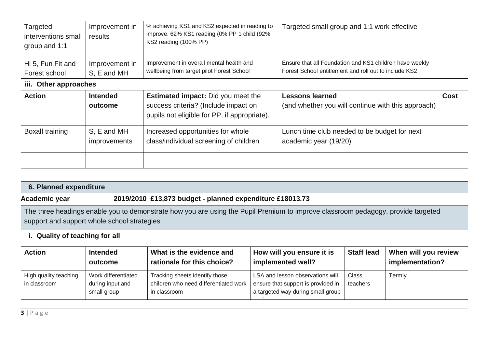| Targeted<br>interventions small<br>group and 1:1 | Improvement in<br>results | % achieving KS1 and KS2 expected in reading to<br>improve. 62% KS1 reading (0% PP 1 child (92%<br>KS2 reading (100% PP) | Targeted small group and 1:1 work effective             |      |
|--------------------------------------------------|---------------------------|-------------------------------------------------------------------------------------------------------------------------|---------------------------------------------------------|------|
| Hi 5, Fun Fit and                                | Improvement in            | Improvement in overall mental health and                                                                                | Ensure that all Foundation and KS1 children have weekly |      |
| Forest school                                    | S, E and MH               | wellbeing from target pilot Forest School                                                                               | Forest School entitlement and roll out to include KS2   |      |
| iii. Other approaches                            |                           |                                                                                                                         |                                                         |      |
| <b>Action</b>                                    | <b>Intended</b>           | <b>Estimated impact:</b> Did you meet the                                                                               | <b>Lessons learned</b>                                  | Cost |
|                                                  | outcome                   | success criteria? (Include impact on<br>pupils not eligible for PP, if appropriate).                                    | (and whether you will continue with this approach)      |      |
| <b>Boxall training</b>                           | S, E and MH               | Increased opportunities for whole                                                                                       | Lunch time club needed to be budget for next            |      |
|                                                  | improvements              | class/individual screening of children                                                                                  | academic year (19/20)                                   |      |
|                                                  |                           |                                                                                                                         |                                                         |      |

| 6. Planned expenditure                                                                                                                                                                                            |                                                                                                                                                                                                        |                                                                                         |                                                                                                             |                          |        |  |
|-------------------------------------------------------------------------------------------------------------------------------------------------------------------------------------------------------------------|--------------------------------------------------------------------------------------------------------------------------------------------------------------------------------------------------------|-----------------------------------------------------------------------------------------|-------------------------------------------------------------------------------------------------------------|--------------------------|--------|--|
| Academic year                                                                                                                                                                                                     | 2019/2010 £13,873 budget - planned expenditure £18013.73                                                                                                                                               |                                                                                         |                                                                                                             |                          |        |  |
| The three headings enable you to demonstrate how you are using the Pupil Premium to improve classroom pedagogy, provide targeted<br>support and support whole school strategies<br>i. Quality of teaching for all |                                                                                                                                                                                                        |                                                                                         |                                                                                                             |                          |        |  |
| <b>Action</b>                                                                                                                                                                                                     | <b>Staff lead</b><br><b>Intended</b><br>What is the evidence and<br>How will you ensure it is<br>When will you review<br>implemented well?<br>implementation?<br>rationale for this choice?<br>outcome |                                                                                         |                                                                                                             |                          |        |  |
| High quality teaching<br>in classroom                                                                                                                                                                             | Work differentiated<br>during input and<br>small group                                                                                                                                                 | Tracking sheets identify those<br>children who need differentiated work<br>in classroom | LSA and lesson observations will<br>ensure that support is provided in<br>a targeted way during small group | <b>Class</b><br>teachers | Termly |  |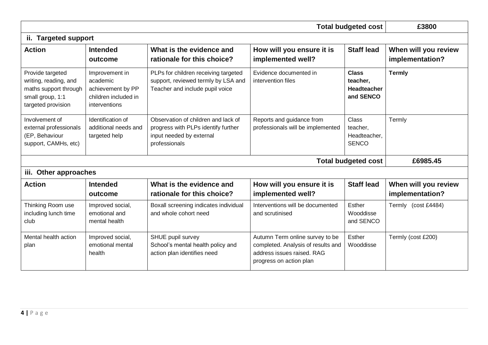| <b>Total budgeted cost</b>                                                                                   |                                                                                          |                                                                                                                         |                                                                                                                                |                                                          | £3800                                   |  |
|--------------------------------------------------------------------------------------------------------------|------------------------------------------------------------------------------------------|-------------------------------------------------------------------------------------------------------------------------|--------------------------------------------------------------------------------------------------------------------------------|----------------------------------------------------------|-----------------------------------------|--|
| ii. Targeted support                                                                                         |                                                                                          |                                                                                                                         |                                                                                                                                |                                                          |                                         |  |
| <b>Action</b>                                                                                                | <b>Intended</b><br>outcome                                                               | What is the evidence and<br>rationale for this choice?                                                                  | How will you ensure it is<br>implemented well?                                                                                 | <b>Staff lead</b>                                        | When will you review<br>implementation? |  |
| Provide targeted<br>writing, reading, and<br>maths support through<br>small group, 1:1<br>targeted provision | Improvement in<br>academic<br>achievement by PP<br>children included in<br>interventions | PLPs for children receiving targeted<br>support, reviewed termly by LSA and<br>Teacher and include pupil voice          | Evidence documented in<br>intervention files                                                                                   | <b>Class</b><br>teacher,<br>Headteacher<br>and SENCO     | <b>Termly</b>                           |  |
| Involvement of<br>external professionals<br>(EP, Behaviour<br>support, CAMHs, etc)                           | Identification of<br>additional needs and<br>targeted help                               | Observation of children and lack of<br>progress with PLPs identify further<br>input needed by external<br>professionals | Reports and guidance from<br>professionals will be implemented                                                                 | <b>Class</b><br>teacher,<br>Headteacher,<br><b>SENCO</b> | Termly                                  |  |
|                                                                                                              |                                                                                          |                                                                                                                         |                                                                                                                                | <b>Total budgeted cost</b>                               | £6985.45                                |  |
| iii. Other approaches                                                                                        |                                                                                          |                                                                                                                         |                                                                                                                                |                                                          |                                         |  |
| <b>Action</b>                                                                                                | <b>Intended</b><br>outcome                                                               | What is the evidence and<br>rationale for this choice?                                                                  | How will you ensure it is<br>implemented well?                                                                                 | <b>Staff lead</b>                                        | When will you review<br>implementation? |  |
| Thinking Room use<br>including lunch time<br>club                                                            | Improved social,<br>emotional and<br>mental health                                       | Boxall screening indicates individual<br>and whole cohort need                                                          | Interventions will be documented<br>and scrutinised                                                                            | Esther<br>Wooddisse<br>and SENCO                         | Termly (cost £4484)                     |  |
| Mental health action<br>plan                                                                                 | Improved social,<br>emotional mental<br>health                                           | SHUE pupil survey<br>School's mental health policy and<br>action plan identifies need                                   | Autumn Term online survey to be<br>completed. Analysis of results and<br>address issues raised. RAG<br>progress on action plan | Esther<br>Wooddisse                                      | Termly (cost £200)                      |  |